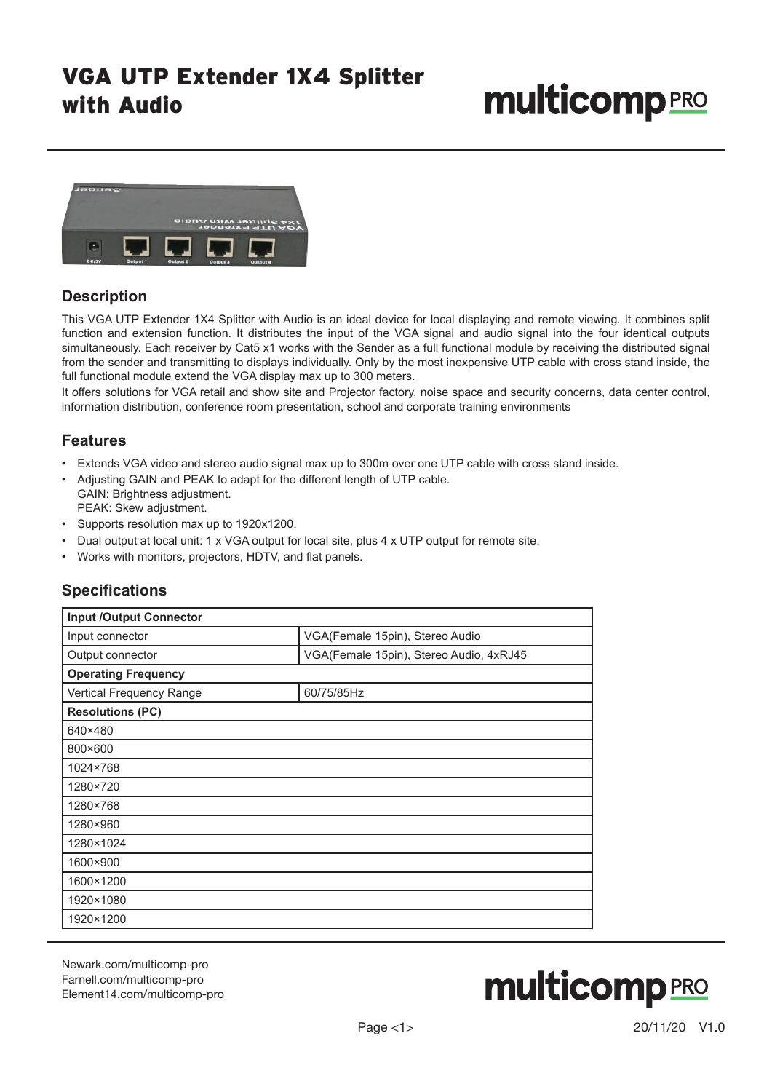## VGA UTP Extender 1X4 Splitter with Audio

# **multicomp** PRO



#### **Description**

This VGA UTP Extender 1X4 Splitter with Audio is an ideal device for local displaying and remote viewing. It combines split function and extension function. It distributes the input of the VGA signal and audio signal into the four identical outputs simultaneously. Each receiver by Cat5 x1 works with the Sender as a full functional module by receiving the distributed signal from the sender and transmitting to displays individually. Only by the most inexpensive UTP cable with cross stand inside, the full functional module extend the VGA display max up to 300 meters.

It offers solutions for VGA retail and show site and Projector factory, noise space and security concerns, data center control, information distribution, conference room presentation, school and corporate training environments

#### **Features**

- Extends VGA video and stereo audio signal max up to 300m over one UTP cable with cross stand inside.
- Adjusting GAIN and PEAK to adapt for the different length of UTP cable. GAIN: Brightness adjustment.

PEAK: Skew adjustment.

- Supports resolution max up to 1920x1200.
- Dual output at local unit: 1 x VGA output for local site, plus 4 x UTP output for remote site.
- Works with monitors, projectors, HDTV, and flat panels.

#### **Specifications**

| <b>Input /Output Connector</b> |                                         |
|--------------------------------|-----------------------------------------|
| Input connector                | VGA(Female 15pin), Stereo Audio         |
| Output connector               | VGA(Female 15pin), Stereo Audio, 4xRJ45 |
| <b>Operating Frequency</b>     |                                         |
| Vertical Frequency Range       | 60/75/85Hz                              |
| <b>Resolutions (PC)</b>        |                                         |
| 640×480                        |                                         |
| 800×600                        |                                         |
| 1024×768                       |                                         |
| 1280×720                       |                                         |
| 1280×768                       |                                         |
| 1280×960                       |                                         |
| 1280×1024                      |                                         |
| 1600×900                       |                                         |
| 1600×1200                      |                                         |
| 1920×1080                      |                                         |
| 1920×1200                      |                                         |

Newark.com/multicomp-pro Farnell.com/multicomp-pro Element14.com/multicomp-pro